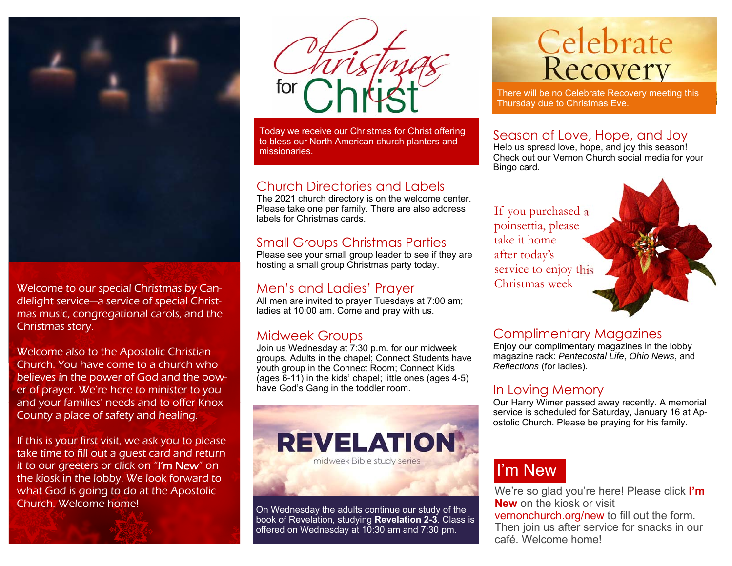

Welcome to our special Christmas by Candlelight service—a service of special Christmas music, congregational carols, and the Christmas story.

Welcome also to the Apostolic Christian Church. You have come to a church who believes in the power of God and the power of prayer. We're here to minister to you and your families' needs and to offer Knox County a place of safety and healing.

If this is your first visit, we ask you to please take time to fill out a guest card and return it to our greeters or click on "I'm New" on the kiosk in the lobby. We look forward to what God is going to do at the Apostolic Church. Welcome home!



Today we receive our Christmas for Christ offering to bless our North American church planters and missionaries.

#### Church Directories and Labels

 The 2021 church directory is on the welcome center. Please take one per family. There are also address labels for Christmas cards.

#### Small Groups Christmas Parties

Please see your small group leader to see if they are hosting a small group Christmas party today.

#### Men's and Ladies' Prayer

All men are invited to prayer Tuesdays at 7:00 am; ladies at 10:00 am. Come and pray with us.

#### Midweek Groups

Join us Wednesday at 7:30 p.m. for our midweek groups. Adults in the chapel; Connect Students have youth group in the Connect Room; Connect Kids (ages 6-11) in the kids' chapel; little ones (ages 4-5) have God's Gang in the toddler room.



On Wednesday the adults continue our study of the book of Revelation, studying **Revelation 2-3**. Class is offered on Wednesday at 10:30 am and 7:30 pm.

# **Celebrate**<br>Recovery

There will be no Celebrate Recovery meeting this Thursday due to Christmas Eve.

#### Season of Love, Hope, and Joy

Help us spread love, hope, and joy this season! Check out our Vernon Church social media for your Bingo card.

If you purchased a poinsettia, please take it home after today's service to enjoy this Christmas week

#### Complimentary Magazines

Enjoy our complimentary magazines in the lobby magazine rack: *Pentecostal Life*, *Ohio News*, and *Reflections* (for ladies).

#### In Loving Memory

Our Harry Wimer passed away recently. A memorial service is scheduled for Saturday, January 16 at Apostolic Church. Please be praying for his family.

## I'm New

We're so glad you're here! Please click **I'm New** on the kiosk or visit vernonchurch.org/new to fill out the form. Then join us after service for snacks in our café. Welcome home!